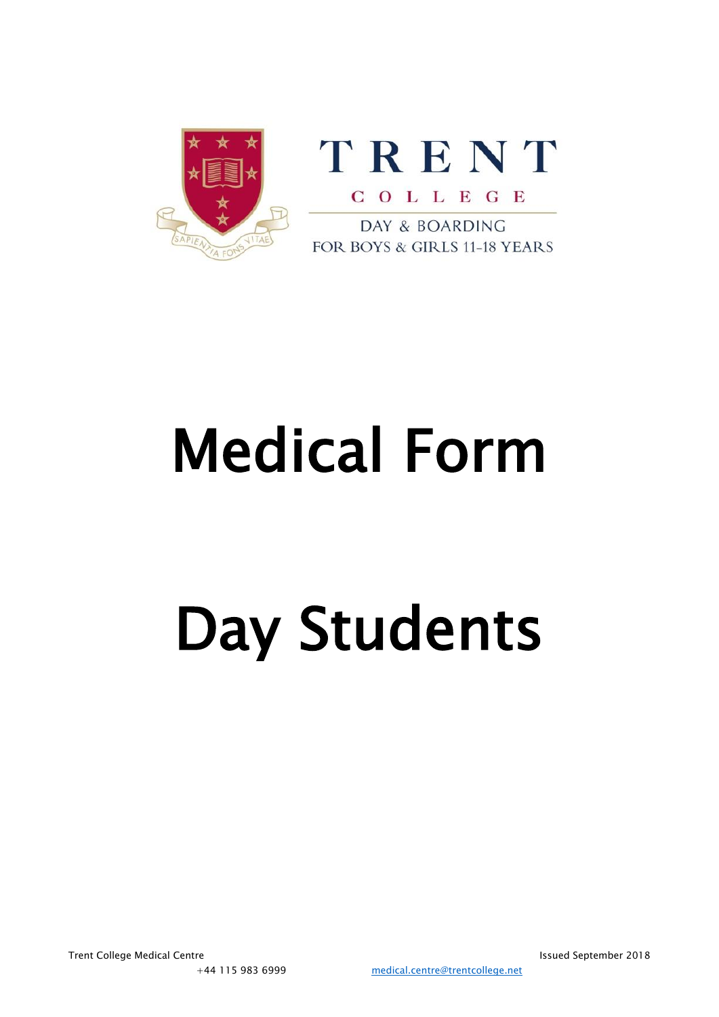



DAY & BOARDING FOR BOYS & GIRLS 11-18 YEARS

# Medical Form

# Day Students

Trent College Medical Centre **Issued September 2018** and the Issued September 2018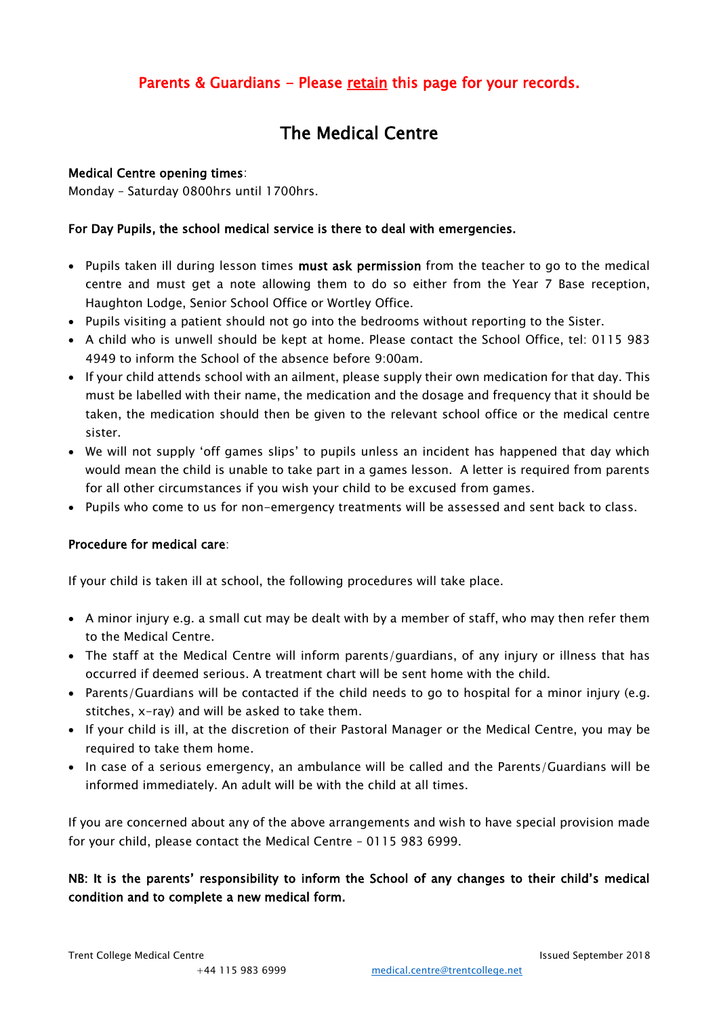### Parents & Guardians - Please retain this page for your records.

## The Medical Centre

#### Medical Centre opening times:

Monday – Saturday 0800hrs until 1700hrs.

#### For Day Pupils, the school medical service is there to deal with emergencies.

- Pupils taken ill during lesson times must ask permission from the teacher to go to the medical centre and must get a note allowing them to do so either from the Year 7 Base reception, Haughton Lodge, Senior School Office or Wortley Office.
- Pupils visiting a patient should not go into the bedrooms without reporting to the Sister.
- A child who is unwell should be kept at home. Please contact the School Office, tel: 0115 983 4949 to inform the School of the absence before 9:00am.
- If your child attends school with an ailment, please supply their own medication for that day. This must be labelled with their name, the medication and the dosage and frequency that it should be taken, the medication should then be given to the relevant school office or the medical centre sister.
- We will not supply 'off games slips' to pupils unless an incident has happened that day which would mean the child is unable to take part in a games lesson. A letter is required from parents for all other circumstances if you wish your child to be excused from games.
- Pupils who come to us for non-emergency treatments will be assessed and sent back to class.

#### Procedure for medical care:

If your child is taken ill at school, the following procedures will take place.

- A minor injury e.g. a small cut may be dealt with by a member of staff, who may then refer them to the Medical Centre.
- The staff at the Medical Centre will inform parents/guardians, of any injury or illness that has occurred if deemed serious. A treatment chart will be sent home with the child.
- Parents/Guardians will be contacted if the child needs to go to hospital for a minor injury (e.g. stitches, x-ray) and will be asked to take them.
- If your child is ill, at the discretion of their Pastoral Manager or the Medical Centre, you may be required to take them home.
- In case of a serious emergency, an ambulance will be called and the Parents/Guardians will be informed immediately. An adult will be with the child at all times.

If you are concerned about any of the above arrangements and wish to have special provision made for your child, please contact the Medical Centre – 0115 983 6999.

#### NB: It is the parents' responsibility to inform the School of any changes to their child's medical condition and to complete a new medical form.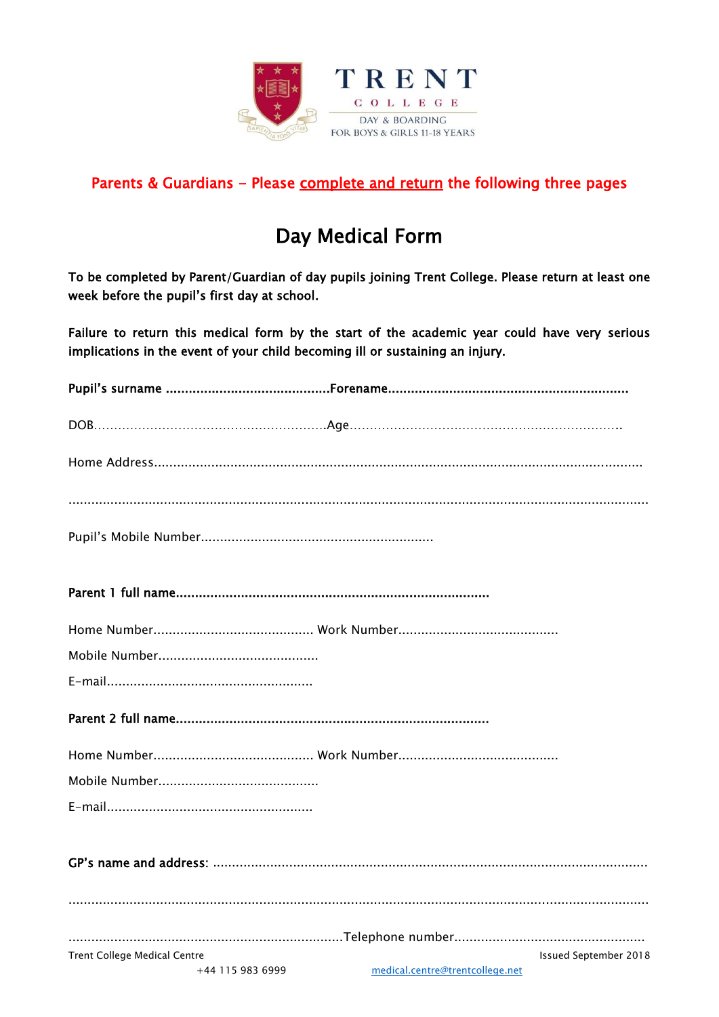

### Parents & Guardians - Please complete and return the following three pages

## Day Medical Form

To be completed by Parent/Guardian of day pupils joining Trent College. Please return at least one week before the pupil's first day at school.

Failure to return this medical form by the start of the academic year could have very serious implications in the event of your child becoming ill or sustaining an injury.

| <b>Trent College Medical Centre</b> | <b>Issued September 2018</b>    |
|-------------------------------------|---------------------------------|
| +44 115 983 6999                    | medical.centre@trentcollege.net |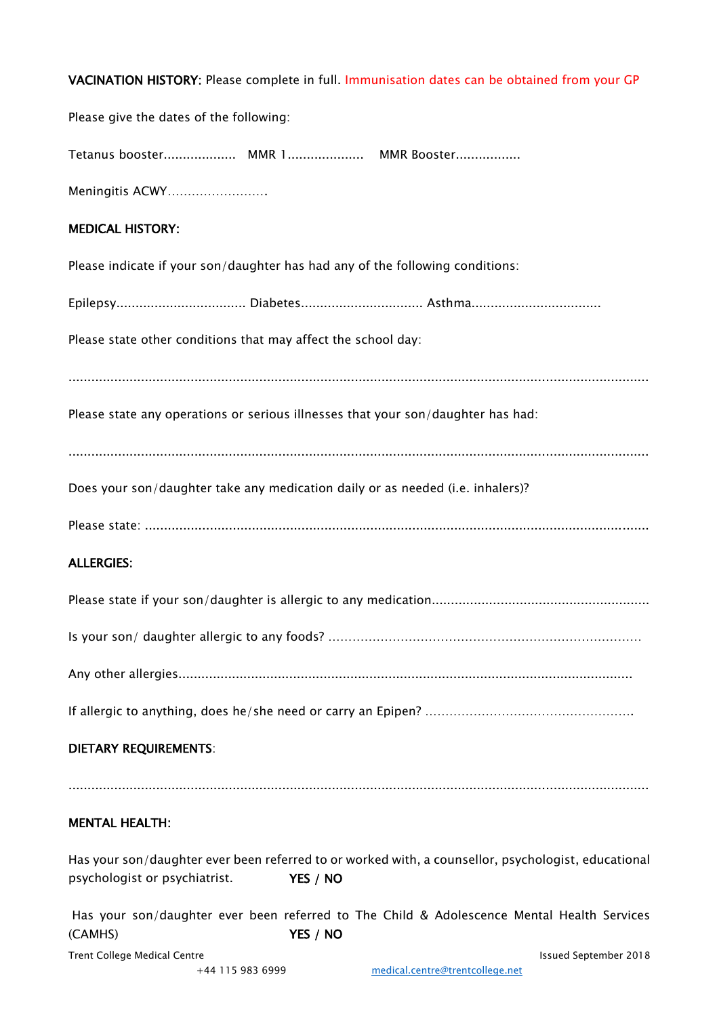|  |  |  | VACINATION HISTORY: Please complete in full. Immunisation dates can be obtained from your GP |
|--|--|--|----------------------------------------------------------------------------------------------|
|--|--|--|----------------------------------------------------------------------------------------------|

| Please give the dates of the following:                                                                                                          |
|--------------------------------------------------------------------------------------------------------------------------------------------------|
|                                                                                                                                                  |
| Meningitis ACWY                                                                                                                                  |
| <b>MEDICAL HISTORY:</b>                                                                                                                          |
| Please indicate if your son/daughter has had any of the following conditions:                                                                    |
|                                                                                                                                                  |
| Please state other conditions that may affect the school day:                                                                                    |
|                                                                                                                                                  |
| Please state any operations or serious illnesses that your son/daughter has had:                                                                 |
|                                                                                                                                                  |
| Does your son/daughter take any medication daily or as needed (i.e. inhalers)?                                                                   |
|                                                                                                                                                  |
| <b>ALLERGIES:</b>                                                                                                                                |
|                                                                                                                                                  |
|                                                                                                                                                  |
|                                                                                                                                                  |
|                                                                                                                                                  |
| <b>DIETARY REQUIREMENTS:</b>                                                                                                                     |
| <b>MENTAL HEALTH:</b>                                                                                                                            |
| Has your son/daughter ever been referred to or worked with, a counsellor, psychologist, educational<br>psychologist or psychiatrist.<br>YES / NO |
| Has your son/daughter ever been referred to The Child & Adolescence Mental Health Services<br>(CAMHS)<br>YES / NO                                |
| <b>Trent College Medical Centre</b><br><b>Issued September 2018</b>                                                                              |